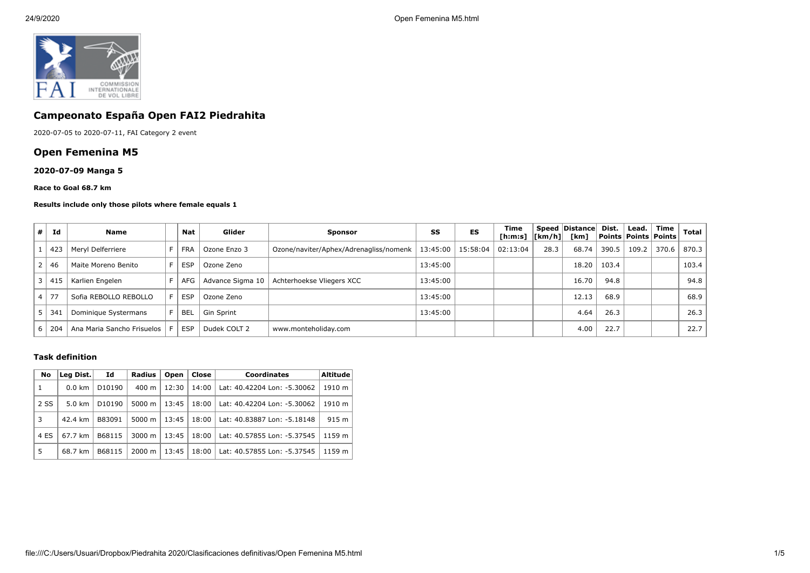

# **Campeonato España Open FAI2 Piedrahita**

2020-07-05 to 2020-07-11, FAI Category 2 event

# **Open Femenina M5**

## **2020-07-09 Manga 5**

#### **Race to Goal 68.7 km**

#### **Results include only those pilots where female equals 1**

| # | Id      | <b>Name</b>                |       | Nat        | Glider            | <b>Sponsor</b>                         | SS       | ES                  | Time<br>[h:m:s] $ [km/h] $ |      | Speed Distance<br>[km] | Dist. | Lead. | Time<br>  Points   Points   Points | Total |
|---|---------|----------------------------|-------|------------|-------------------|----------------------------------------|----------|---------------------|----------------------------|------|------------------------|-------|-------|------------------------------------|-------|
|   | 423     | Meryl Delferriere          |       | <b>FRA</b> | Ozone Enzo 3      | Ozone/naviter/Aphex/Adrenagliss/nomenk |          | 13:45:00   15:58:04 | 02:13:04                   | 28.3 | 68.74                  | 390.5 | 109.2 | 370.6                              | 870.3 |
|   | 46      | Maite Moreno Benito        | F.    | <b>ESP</b> | Ozone Zeno        |                                        | 13:45:00 |                     |                            |      | 18.20                  | 103.4 |       |                                    | 103.4 |
| 3 | 41!     | Karlien Engelen            |       | AFG        | Advance Sigma 10  | Achterhoekse Vliegers XCC              | 13:45:00 |                     |                            |      | 16.70                  | 94.8  |       |                                    | 94.8  |
|   | $.4$ 77 | Sofia REBOLLO REBOLLO      | F.    | <b>ESP</b> | Ozone Zeno        |                                        | 13:45:00 |                     |                            |      | 12.13                  | 68.9  |       |                                    | 68.9  |
|   | 34      | Dominique Systermans       | F.    | <b>BEL</b> | <b>Gin Sprint</b> |                                        | 13:45:00 |                     |                            |      | 4.64                   | 26.3  |       |                                    | 26.3  |
| b | 204     | Ana Maria Sancho Frisuelos | - F I | <b>ESP</b> | Dudek COLT 2      | www.monteholiday.com                   |          |                     |                            |      | 4.00                   | 22.7  |       |                                    | 22.7  |

### **Task definition**

|  | No   | Leg Dist.        | Id                 | <b>Radius</b>      | Open  | Close | <b>Coordinates</b>          | <b>Altitude</b> |
|--|------|------------------|--------------------|--------------------|-------|-------|-----------------------------|-----------------|
|  | 1    | $0.0 \text{ km}$ | D <sub>10190</sub> | $400 \text{ m}$    | 12:30 | 14:00 | Lat: 40.42204 Lon: -5.30062 | 1910 m          |
|  | 2 SS | $5.0 \text{ km}$ | D <sub>10190</sub> | 5000 m             | 13:45 | 18:00 | Lat: 40.42204 Lon: -5.30062 | 1910 m          |
|  | 3    | 42.4 km          | B83091             | 5000 m             | 13:45 | 18:00 | Lat: 40.83887 Lon: -5.18148 | 915 m           |
|  | 4 ES | 67.7 km          | B68115             | $3000 \; \text{m}$ | 13:45 | 18:00 | Lat: 40.57855 Lon: -5.37545 | 1159 m          |
|  | 5    | 68.7 km          | B68115             | $2000 \; \text{m}$ | 13:45 | 18:00 | Lat: 40.57855 Lon: -5.37545 | 1159 m          |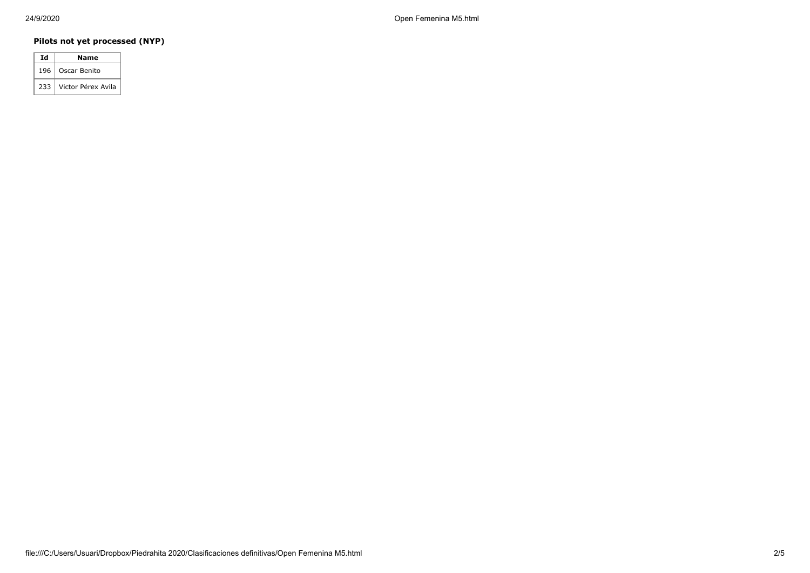# **Pilots not yet processed (NYP)**

| Ιd  | Name               |
|-----|--------------------|
| 196 | Oscar Benito       |
| 233 | Victor Pérex Avila |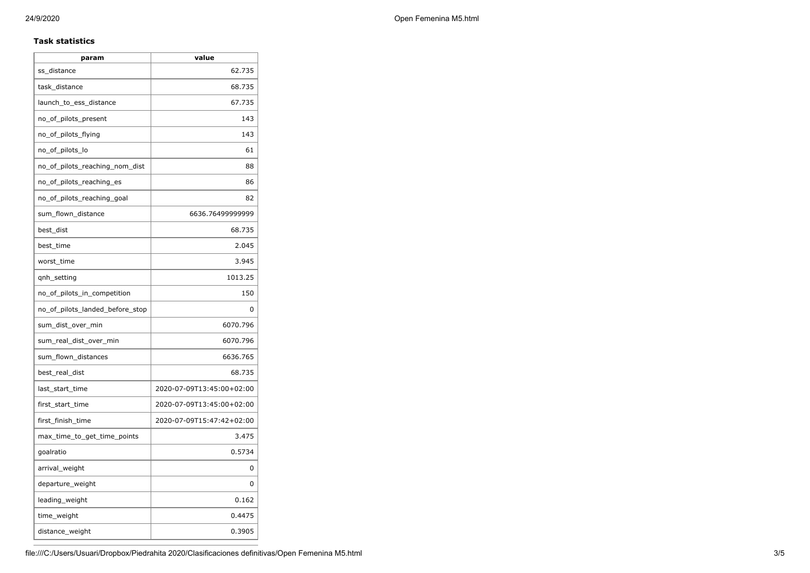## **Task statistics**

| param                           | value                     |
|---------------------------------|---------------------------|
| ss_distance                     | 62.735                    |
| task_distance                   | 68.735                    |
| launch_to_ess_distance          | 67.735                    |
| no_of_pilots_present            | 143                       |
| no_of_pilots_flying             | 143                       |
| no_of_pilots_lo                 | 61                        |
| no_of_pilots_reaching_nom_dist  | 88                        |
| no_of_pilots_reaching_es        | 86                        |
| no_of_pilots_reaching_goal      | 82                        |
| sum_flown_distance              | 6636.76499999999          |
| best_dist                       | 68.735                    |
| best_time                       | 2.045                     |
| worst_time                      | 3.945                     |
| qnh_setting                     | 1013.25                   |
| no_of_pilots_in_competition     | 150                       |
| no_of_pilots_landed_before_stop | 0                         |
| sum_dist_over_min               | 6070.796                  |
| sum real dist over min          | 6070.796                  |
| sum_flown_distances             | 6636.765                  |
| best_real_dist                  | 68.735                    |
| last_start_time                 | 2020-07-09T13:45:00+02:00 |
| first_start_time                | 2020-07-09T13:45:00+02:00 |
| first_finish_time               | 2020-07-09T15:47:42+02:00 |
| max_time_to_get_time_points     | 3.475                     |
| goalratio                       | 0.5734                    |
| arrival_weight                  | 0                         |
| departure_weight                | 0                         |
| leading_weight                  | 0.162                     |
| time_weight                     | 0.4475                    |
| distance_weight                 | 0.3905                    |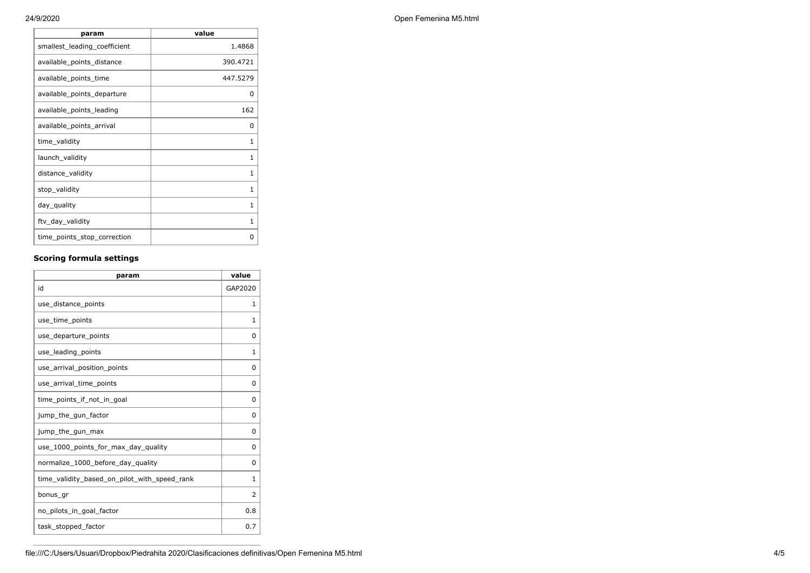| 24/9/2020 | Open Femenina M5.html |
|-----------|-----------------------|
|           |                       |

| param                        | value        |
|------------------------------|--------------|
| smallest_leading_coefficient | 1.4868       |
| available_points_distance    | 390.4721     |
| available_points_time        | 447.5279     |
| available_points_departure   | 0            |
| available_points_leading     | 162          |
| available_points_arrival     | 0            |
| time_validity                | 1            |
| launch_validity              | $\mathbf{1}$ |
| distance_validity            | 1            |
| stop_validity                | 1            |
| day_quality                  | 1            |
| ftv_day_validity             | $\mathbf{1}$ |
| time_points_stop_correction  | 0            |

# **Scoring formula settings**

| param                                        | value        |
|----------------------------------------------|--------------|
| id                                           | GAP2020      |
| use_distance_points                          | $\mathbf{1}$ |
| use_time_points                              | 1            |
| use_departure_points                         | $\Omega$     |
| use_leading_points                           | $\mathbf{1}$ |
| use_arrival_position_points                  | 0            |
| use_arrival_time_points                      | 0            |
| time points if not in goal                   | 0            |
| jump_the_gun_factor                          | 0            |
| jump_the_gun_max                             | 0            |
| use_1000_points_for_max_day_quality          | 0            |
| normalize_1000_before_day_quality            | $\Omega$     |
| time_validity_based_on_pilot_with_speed_rank | $\mathbf{1}$ |
| bonus gr                                     | 2            |
| no_pilots_in_goal_factor                     | 0.8          |
| task_stopped_factor                          | 0.7          |